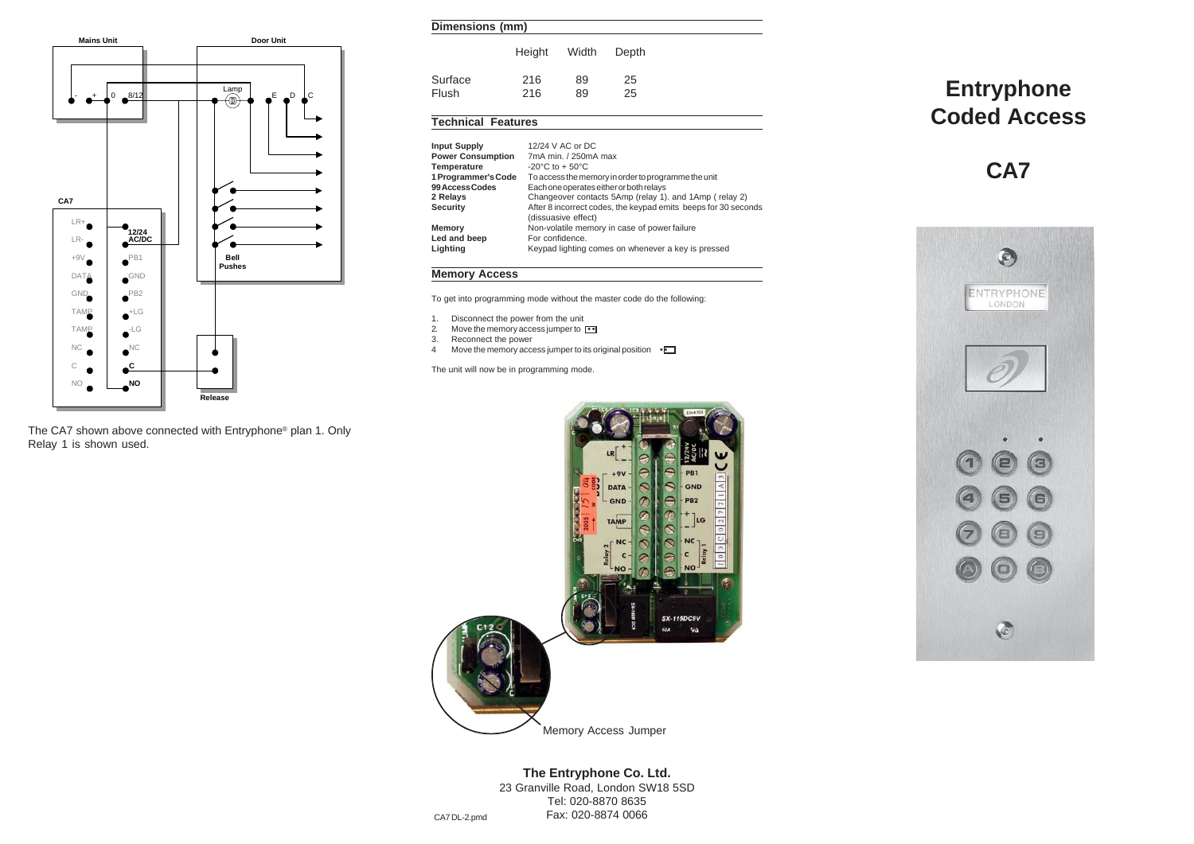

The CA7 shown above connected with Entryphone® plan 1. Only Relay 1 is shown used.

#### **Dimensions (mm)**

|         | Height | Width | Depth |  |
|---------|--------|-------|-------|--|
| Surface | 216    | 89    | 25    |  |
| Flush   | 216    | 89    | 25    |  |

# **Technical Features**

| Input Supply             | 12/24 V AC or DC                                                                      |
|--------------------------|---------------------------------------------------------------------------------------|
| <b>Power Consumption</b> | 7mA min. / 250mA max                                                                  |
| Temperature              | $-20^{\circ}$ C to $+50^{\circ}$ C                                                    |
| 1 Programmer's Code      | To access the memory in order to programme the unit                                   |
| <b>99 Access Codes</b>   | Each one operates either or both relays                                               |
| 2 Relays                 | Changeover contacts 5Amp (relay 1), and 1Amp (relay 2)                                |
| Security                 | After 8 incorrect codes, the keypad emits beeps for 30 seconds<br>(dissuasive effect) |
| Memory                   | Non-volatile memory in case of power failure                                          |
| Led and beep             | For confidence.                                                                       |
| Lighting                 | Keypad lighting comes on whenever a key is pressed                                    |
|                          |                                                                                       |

## **Memory Access**

To get into programming mode without the master code do the following:

- 
- 1. Disconnect the power from the unit<br>2. Move the memory access jumper to 2. Move the memory access jumper to <sup>11</sup><br>3. Reconnect the power
- 
- 4 Move the memory access jumper to its original position  $\cdot$

The unit will now be in programming mode.



# Memory Access Jumper

# **The Entryphone Co. Ltd.**

23 Granville Road, London SW18 5SD Tel: 020-8870 8635 Fax: 020-8874 0066 CA7 DL-2.pmd

# **Entryphone Coded Access**

**CA7**

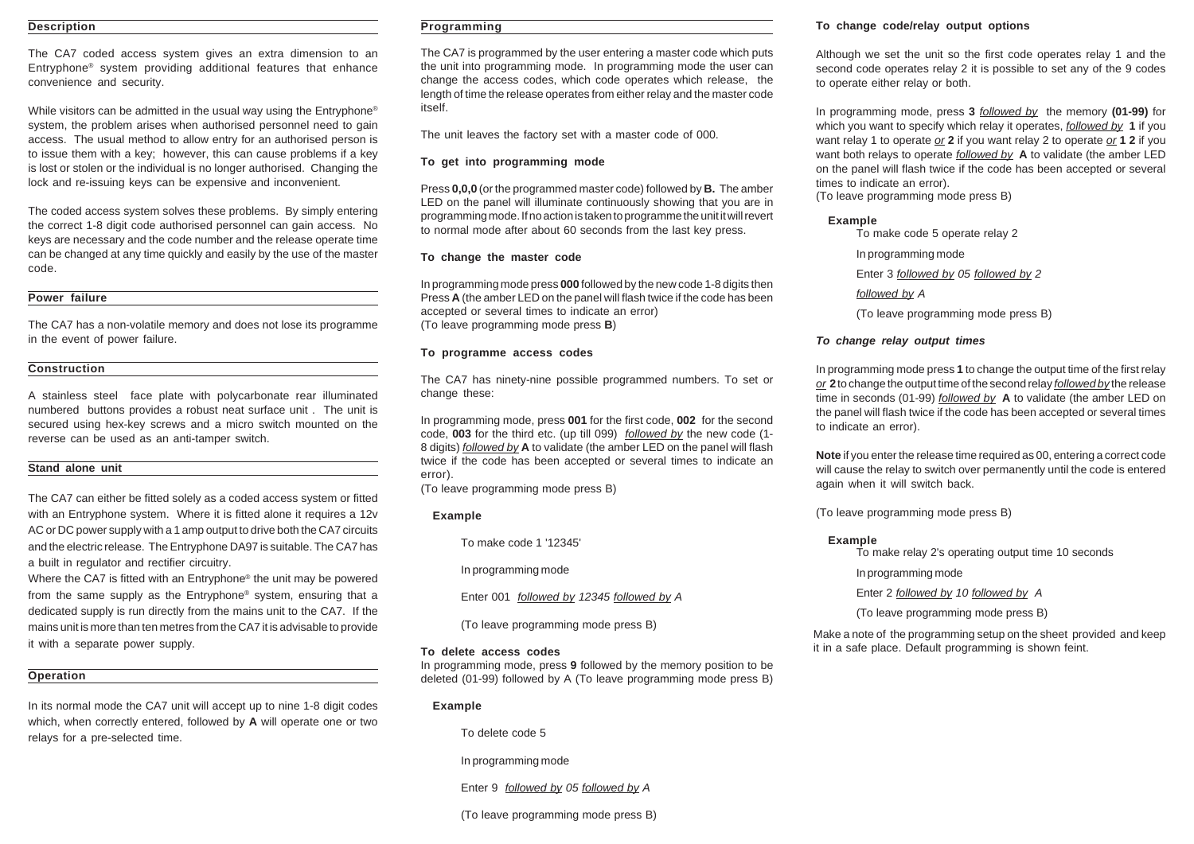## **Description**

The CA7 coded access system gives an extra dimension to an Entryphone® system providing additional features that enhance convenience and security.

While visitors can be admitted in the usual way using the Entryphone<sup>®</sup> system, the problem arises when authorised personnel need to gain access. The usual method to allow entry for an authorised person is to issue them with a key; however, this can cause problems if a key is lost or stolen or the individual is no longer authorised. Changing the lock and re-issuing keys can be expensive and inconvenient.

The coded access system solves these problems. By simply entering the correct 1-8 digit code authorised personnel can gain access. No keys are necessary and the code number and the release operate time can be changed at any time quickly and easily by the use of the master code.

#### **Power failure**

The CA7 has a non-volatile memory and does not lose its programme in the event of power failure.

#### **Construction**

A stainless steel face plate with polycarbonate rear illuminated numbered buttons provides a robust neat surface unit . The unit is secured using hex-key screws and a micro switch mounted on the reverse can be used as an anti-tamper switch.

#### **Stand alone unit**

The CA7 can either be fitted solely as a coded access system or fitted with an Entryphone system. Where it is fitted alone it requires a 12v AC or DC power supply with a 1 amp output to drive both the CA7 circuits and the electric release. The Entryphone DA97 is suitable. The CA7 has a built in regulator and rectifier circuitry.

Where the CA7 is fitted with an Entryphone® the unit may be powered from the same supply as the Entryphone® system, ensuring that a dedicated supply is run directly from the mains unit to the CA7. If the mains unit is more than ten metres from the CA7 it is advisable to provide it with a separate power supply.

## **Operation**

In its normal mode the CA7 unit will accept up to nine 1-8 digit codes which, when correctly entered, followed by **A** will operate one or two relays for a pre-selected time.

#### **Programming**

The CA7 is programmed by the user entering a master code which puts the unit into programming mode. In programming mode the user can change the access codes, which code operates which release, the length of time the release operates from either relay and the master code itself.

The unit leaves the factory set with a master code of 000.

#### **To get into programming mode**

Press **0,0,0** (or the programmed master code) followed by **B.** The amber LED on the panel will illuminate continuously showing that you are in programming mode. If no action is taken to programme the unit it will revert to normal mode after about 60 seconds from the last key press.

#### **To change the master code**

In programming mode press **000** followed by the new code 1-8 digits then Press **A** (the amber LED on the panel will flash twice if the code has been accepted or several times to indicate an error) (To leave programming mode press **B**)

## **To programme access codes**

The CA7 has ninety-nine possible programmed numbers. To set or change these:

In programming mode, press **001** for the first code, **002** for the second code, **003** for the third etc. (up till 099) *followed by* the new code (1- 8 digits) *followed by* **A** to validate (the amber LED on the panel will flash twice if the code has been accepted or several times to indicate an error).

(To leave programming mode press B)

#### **Example**

To make code 1 '12345'

In programming mode

Enter 001 *followed by 12345 followed by A*

(To leave programming mode press B)

#### **To delete access codes**

In programming mode, press **9** followed by the memory position to be deleted (01-99) followed by A (To leave programming mode press B)

#### **Example**

To delete code 5

In programming mode

Enter 9 *followed by 05 followed by A*

(To leave programming mode press B)

#### **To change code/relay output options**

Although we set the unit so the first code operates relay 1 and the second code operates relay 2 it is possible to set any of the 9 codes to operate either relay or both.

In programming mode, press **3** *followed by* the memory **(01-99)** for which you want to specify which relay it operates, *followed by* **1** if you want relay 1 to operate *or* **2** if you want relay 2 to operate *or* **1 2** if you want both relays to operate *followed by* **A** to validate (the amber LED on the panel will flash twice if the code has been accepted or several times to indicate an error).

(To leave programming mode press B)

## **Example**

To make code 5 operate relay 2

In programming mode

Enter 3 *followed by 05 followed by 2*

*followed by A*

(To leave programming mode press B)

# *To change relay output times*

In programming mode press **1** to change the output time of the first relay *or* **2** to change the output time of the second relay *followed by* the release time in seconds (01-99) *followed by* **A** to validate (the amber LED on the panel will flash twice if the code has been accepted or several times to indicate an error).

**Note** if you enter the release time required as 00, entering a correct code will cause the relay to switch over permanently until the code is entered again when it will switch back.

(To leave programming mode press B)

## **Example**

To make relay 2's operating output time 10 seconds

In programming mode

Enter 2 *followed by 10 followed by A*

(To leave programming mode press B)

Make a note of the programming setup on the sheet provided and keep it in a safe place. Default programming is shown feint.